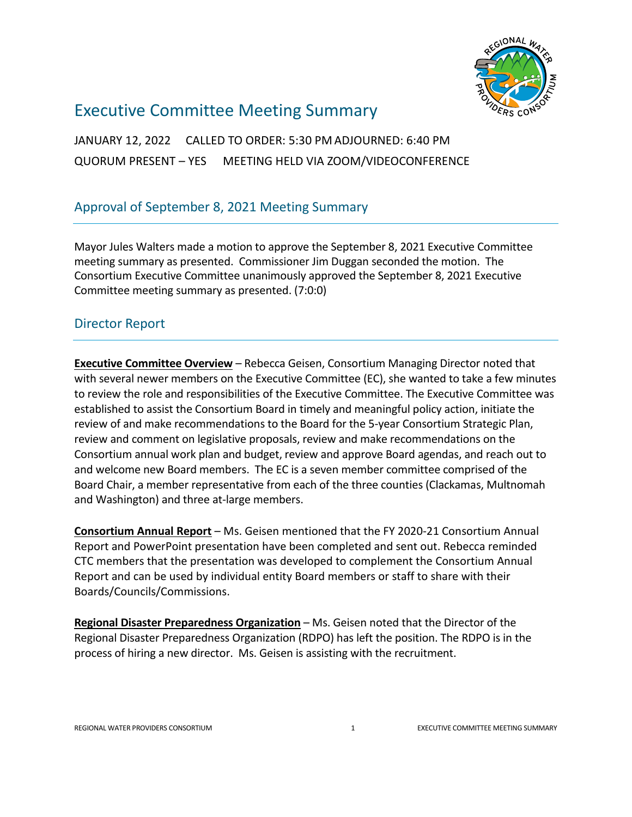

# Executive Committee Meeting Summary

JANUARY 12, 2022 CALLED TO ORDER: 5:30 PM ADJOURNED: 6:40 PM QUORUM PRESENT – YES MEETING HELD VIA ZOOM/VIDEOCONFERENCE

## Approval of September 8, 2021 Meeting Summary

Mayor Jules Walters made a motion to approve the September 8, 2021 Executive Committee meeting summary as presented. Commissioner Jim Duggan seconded the motion. The Consortium Executive Committee unanimously approved the September 8, 2021 Executive Committee meeting summary as presented. (7:0:0)

### Director Report

**Executive Committee Overview** – Rebecca Geisen, Consortium Managing Director noted that with several newer members on the Executive Committee (EC), she wanted to take a few minutes to review the role and responsibilities of the Executive Committee. The Executive Committee was established to assist the Consortium Board in timely and meaningful policy action, initiate the review of and make recommendations to the Board for the 5-year Consortium Strategic Plan, review and comment on legislative proposals, review and make recommendations on the Consortium annual work plan and budget, review and approve Board agendas, and reach out to and welcome new Board members. The EC is a seven member committee comprised of the Board Chair, a member representative from each of the three counties (Clackamas, Multnomah and Washington) and three at-large members.

**Consortium Annual Report** – Ms. Geisen mentioned that the FY 2020-21 Consortium Annual Report and PowerPoint presentation have been completed and sent out. Rebecca reminded CTC members that the presentation was developed to complement the Consortium Annual Report and can be used by individual entity Board members or staff to share with their Boards/Councils/Commissions.

**Regional Disaster Preparedness Organization** – Ms. Geisen noted that the Director of the Regional Disaster Preparedness Organization (RDPO) has left the position. The RDPO is in the process of hiring a new director. Ms. Geisen is assisting with the recruitment.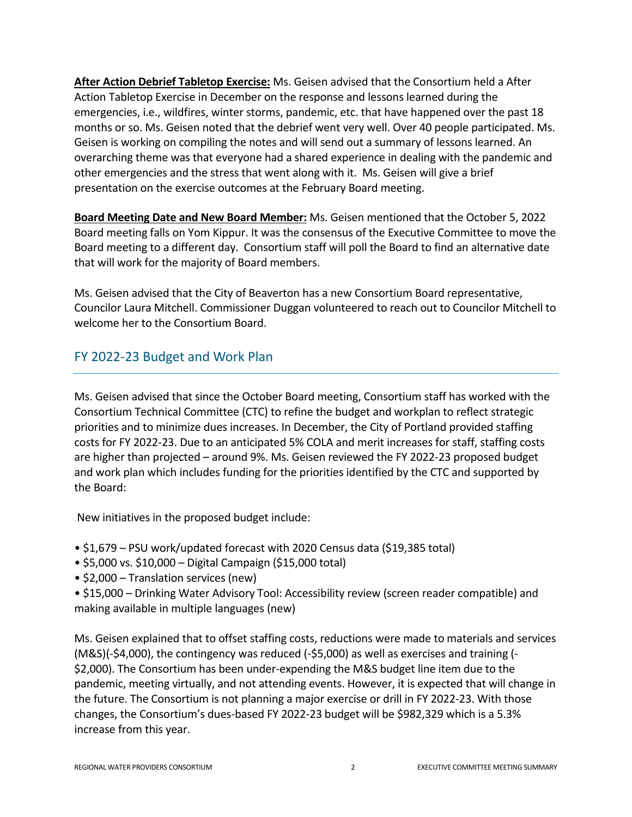**After Action Debrief Tabletop Exercise:** Ms. Geisen advised that the Consortium held a After Action Tabletop Exercise in December on the response and lessons learned during the emergencies, i.e., wildfires, winter storms, pandemic, etc. that have happened over the past 18 months or so. Ms. Geisen noted that the debrief went very well. Over 40 people participated. Ms. Geisen is working on compiling the notes and will send out a summary of lessons learned. An overarching theme was that everyone had a shared experience in dealing with the pandemic and other emergencies and the stress that went along with it. Ms. Geisen will give a brief presentation on the exercise outcomes at the February Board meeting.

**Board Meeting Date and New Board Member:** Ms. Geisen mentioned that the October 5, 2022 Board meeting falls on Yom Kippur. It was the consensus of the Executive Committee to move the Board meeting to a different day. Consortium staff will poll the Board to find an alternative date that will work for the majority of Board members.

Ms. Geisen advised that the City of Beaverton has a new Consortium Board representative, Councilor Laura Mitchell. Commissioner Duggan volunteered to reach out to Councilor Mitchell to welcome her to the Consortium Board.

## FY 2022-23 Budget and Work Plan

Ms. Geisen advised that since the October Board meeting, Consortium staff has worked with the Consortium Technical Committee (CTC) to refine the budget and workplan to reflect strategic priorities and to minimize dues increases. In December, the City of Portland provided staffing costs for FY 2022-23. Due to an anticipated 5% COLA and merit increases for staff, staffing costs are higher than projected – around 9%. Ms. Geisen reviewed the FY 2022-23 proposed budget and work plan which includes funding for the priorities identified by the CTC and supported by the Board:

New initiatives in the proposed budget include:

- \$1,679 PSU work/updated forecast with 2020 Census data (\$19,385 total)
- \$5,000 vs. \$10,000 Digital Campaign (\$15,000 total)
- \$2,000 Translation services (new)

• \$15,000 – Drinking Water Advisory Tool: Accessibility review (screen reader compatible) and making available in multiple languages (new)

Ms. Geisen explained that to offset staffing costs, reductions were made to materials and services (M&S)(-\$4,000), the contingency was reduced (-\$5,000) as well as exercises and training (- \$2,000). The Consortium has been under-expending the M&S budget line item due to the pandemic, meeting virtually, and not attending events. However, it is expected that will change in the future. The Consortium is not planning a major exercise or drill in FY 2022-23. With those changes, the Consortium's dues-based FY 2022-23 budget will be \$982,329 which is a 5.3% increase from this year.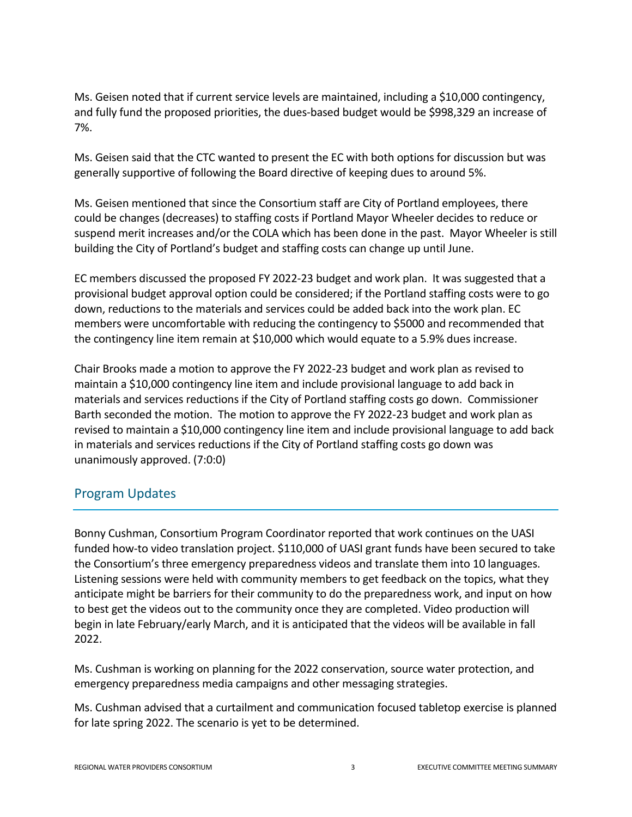Ms. Geisen noted that if current service levels are maintained, including a \$10,000 contingency, and fully fund the proposed priorities, the dues-based budget would be \$998,329 an increase of 7%.

Ms. Geisen said that the CTC wanted to present the EC with both options for discussion but was generally supportive of following the Board directive of keeping dues to around 5%.

Ms. Geisen mentioned that since the Consortium staff are City of Portland employees, there could be changes (decreases) to staffing costs if Portland Mayor Wheeler decides to reduce or suspend merit increases and/or the COLA which has been done in the past. Mayor Wheeler is still building the City of Portland's budget and staffing costs can change up until June.

EC members discussed the proposed FY 2022-23 budget and work plan. It was suggested that a provisional budget approval option could be considered; if the Portland staffing costs were to go down, reductions to the materials and services could be added back into the work plan. EC members were uncomfortable with reducing the contingency to \$5000 and recommended that the contingency line item remain at \$10,000 which would equate to a 5.9% dues increase.

Chair Brooks made a motion to approve the FY 2022-23 budget and work plan as revised to maintain a \$10,000 contingency line item and include provisional language to add back in materials and services reductions if the City of Portland staffing costs go down. Commissioner Barth seconded the motion. The motion to approve the FY 2022-23 budget and work plan as revised to maintain a \$10,000 contingency line item and include provisional language to add back in materials and services reductions if the City of Portland staffing costs go down was unanimously approved. (7:0:0)

### Program Updates

Bonny Cushman, Consortium Program Coordinator reported that work continues on the UASI funded how-to video translation project. \$110,000 of UASI grant funds have been secured to take the Consortium's three emergency preparedness videos and translate them into 10 languages. Listening sessions were held with community members to get feedback on the topics, what they anticipate might be barriers for their community to do the preparedness work, and input on how to best get the videos out to the community once they are completed. Video production will begin in late February/early March, and it is anticipated that the videos will be available in fall 2022.

Ms. Cushman is working on planning for the 2022 conservation, source water protection, and emergency preparedness media campaigns and other messaging strategies.

Ms. Cushman advised that a curtailment and communication focused tabletop exercise is planned for late spring 2022. The scenario is yet to be determined.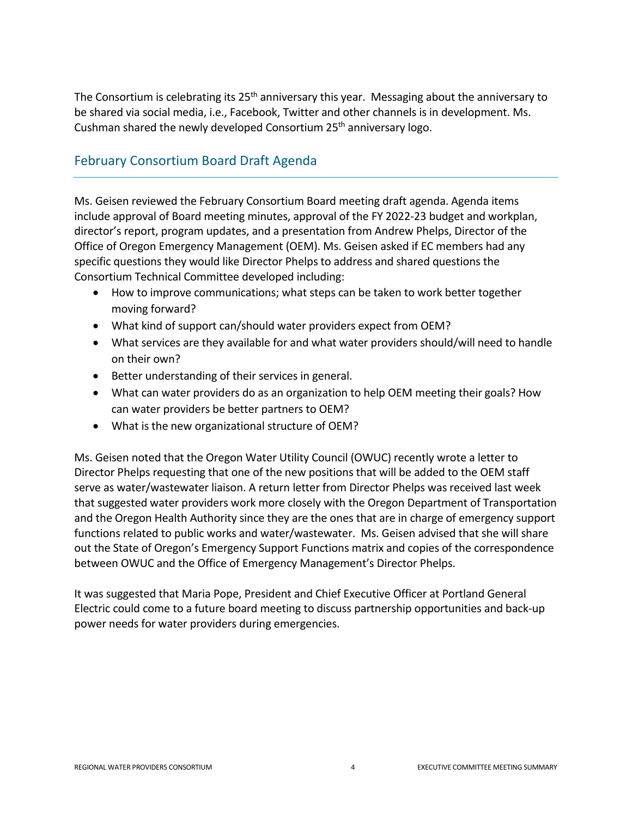The Consortium is celebrating its 25<sup>th</sup> anniversary this year. Messaging about the anniversary to be shared via social media, i.e., Facebook, Twitter and other channels is in development. Ms. Cushman shared the newly developed Consortium 25<sup>th</sup> anniversary logo.

## February Consortium Board Draft Agenda

Ms. Geisen reviewed the February Consortium Board meeting draft agenda. Agenda items include approval of Board meeting minutes, approval of the FY 2022-23 budget and workplan, director's report, program updates, and a presentation from Andrew Phelps, Director of the Office of Oregon Emergency Management (OEM). Ms. Geisen asked if EC members had any specific questions they would like Director Phelps to address and shared questions the Consortium Technical Committee developed including:

- How to improve communications; what steps can be taken to work better together moving forward?
- What kind of support can/should water providers expect from OEM?
- What services are they available for and what water providers should/will need to handle on their own?
- Better understanding of their services in general.
- What can water providers do as an organization to help OEM meeting their goals? How can water providers be better partners to OEM?
- What is the new organizational structure of OEM?

Ms. Geisen noted that the Oregon Water Utility Council (OWUC) recently wrote a letter to Director Phelps requesting that one of the new positions that will be added to the OEM staff serve as water/wastewater liaison. A return letter from Director Phelps was received last week that suggested water providers work more closely with the Oregon Department of Transportation and the Oregon Health Authority since they are the ones that are in charge of emergency support functions related to public works and water/wastewater. Ms. Geisen advised that she will share out the State of Oregon's Emergency Support Functions matrix and copies of the correspondence between OWUC and the Office of Emergency Management's Director Phelps.

It was suggested that Maria Pope, President and Chief Executive Officer at Portland General Electric could come to a future board meeting to discuss partnership opportunities and back-up power needs for water providers during emergencies.